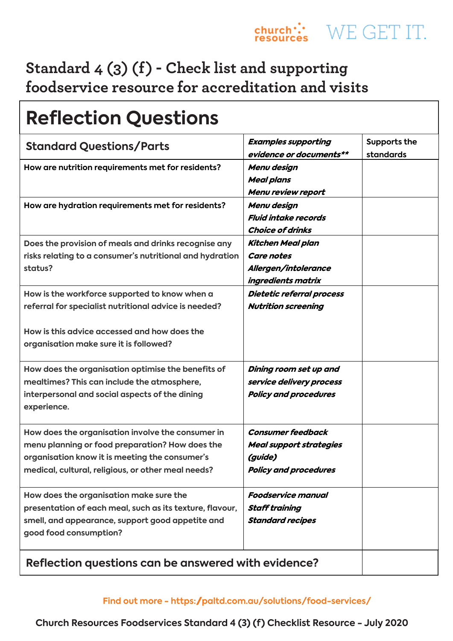### **Standard 4 (3) (f) - Check list and supporting foodservice resource for accreditation and visits**

| <b>Reflection Questions</b>                                                                                                                                                                                  |                                                                                                       |                           |  |  |
|--------------------------------------------------------------------------------------------------------------------------------------------------------------------------------------------------------------|-------------------------------------------------------------------------------------------------------|---------------------------|--|--|
| <b>Standard Questions/Parts</b>                                                                                                                                                                              | <b>Examples supporting</b><br>evidence or documents**                                                 | Supports the<br>standards |  |  |
| How are nutrition requirements met for residents?                                                                                                                                                            | Menu design<br><b>Meal plans</b><br>Menu review report                                                |                           |  |  |
| How are hydration requirements met for residents?                                                                                                                                                            | Menu design<br><b>Fluid intake records</b><br><b>Choice of drinks</b>                                 |                           |  |  |
| Does the provision of meals and drinks recognise any<br>risks relating to a consumer's nutritional and hydration<br>status?                                                                                  | <b>Kitchen Meal plan</b><br><b>Care notes</b><br>Allergen/intolerance<br>ingredients matrix           |                           |  |  |
| How is the workforce supported to know when a<br>referral for specialist nutritional advice is needed?                                                                                                       | Dietetic referral process<br><b>Nutrition screening</b>                                               |                           |  |  |
| How is this advice accessed and how does the<br>organisation make sure it is followed?                                                                                                                       |                                                                                                       |                           |  |  |
| How does the organisation optimise the benefits of<br>mealtimes? This can include the atmosphere,<br>interpersonal and social aspects of the dining<br>experience.                                           | Dining room set up and<br>service delivery process<br><b>Policy and procedures</b>                    |                           |  |  |
| How does the organisation involve the consumer in<br>menu planning or food preparation? How does the<br>organisation know it is meeting the consumer's<br>medical, cultural, religious, or other meal needs? | <b>Consumer feedback</b><br><b>Meal support strategies</b><br>(guide)<br><b>Policy and procedures</b> |                           |  |  |
| How does the organisation make sure the<br>presentation of each meal, such as its texture, flavour,<br>smell, and appearance, support good appetite and<br>good food consumption?                            | <b>Foodservice manual</b><br><b>Staff training</b><br><b>Standard recipes</b>                         |                           |  |  |
| Reflection questions can be answered with evidence?                                                                                                                                                          |                                                                                                       |                           |  |  |

**Church Resources Foodservices Standard 4 (3) (f) Checklist Resource - July 2020**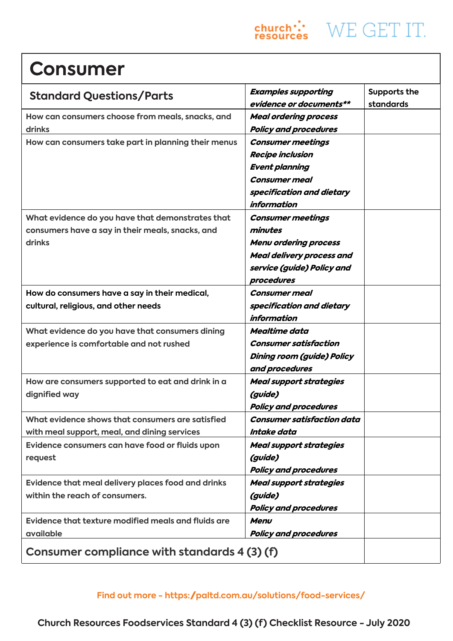

## **Consumer**

| <b>Standard Questions/Parts</b>                     | <b>Examples supporting</b>       | Supports the |
|-----------------------------------------------------|----------------------------------|--------------|
|                                                     | evidence or documents**          | standards    |
| How can consumers choose from meals, snacks, and    | <b>Meal ordering process</b>     |              |
| drinks                                              | <b>Policy and procedures</b>     |              |
| How can consumers take part in planning their menus | <b>Consumer meetings</b>         |              |
|                                                     | <b>Recipe inclusion</b>          |              |
|                                                     | <b>Event planning</b>            |              |
|                                                     | <b>Consumer meal</b>             |              |
|                                                     | specification and dietary        |              |
|                                                     | information                      |              |
| What evidence do you have that demonstrates that    | <b>Consumer meetings</b>         |              |
| consumers have a say in their meals, snacks, and    | minutes                          |              |
| drinks                                              | <b>Menu ordering process</b>     |              |
|                                                     | <b>Meal delivery process and</b> |              |
|                                                     | service (guide) Policy and       |              |
|                                                     | procedures                       |              |
| How do consumers have a say in their medical,       | <b>Consumer meal</b>             |              |
| cultural, religious, and other needs                | specification and dietary        |              |
|                                                     | <i>information</i>               |              |
| What evidence do you have that consumers dining     | Mealtime data                    |              |
| experience is comfortable and not rushed            | <b>Consumer satisfaction</b>     |              |
|                                                     | Dining room (guide) Policy       |              |
|                                                     | and procedures                   |              |
| How are consumers supported to eat and drink in a   | <b>Meal support strategies</b>   |              |
| dignified way                                       | (guide)                          |              |
|                                                     | <b>Policy and procedures</b>     |              |
| What evidence shows that consumers are satisfied    | Consumer satisfaction data       |              |
| with meal support, meal, and dining services        | Intake data                      |              |
| Evidence consumers can have food or fluids upon     | <b>Meal support strategies</b>   |              |
| request                                             | (guide)                          |              |
|                                                     | <b>Policy and procedures</b>     |              |
| Evidence that meal delivery places food and drinks  | <b>Meal support strategies</b>   |              |
| within the reach of consumers.                      | (guide)                          |              |
|                                                     | <b>Policy and procedures</b>     |              |
| Evidence that texture modified meals and fluids are | Menu                             |              |
| available                                           | <b>Policy and procedures</b>     |              |
| Consumer compliance with standards 4 (3) (f)        |                                  |              |

#### **[Find out more - https://paltd.com.au/solutions/food-services/](https://paltd.com.au/solutions/food-services/)**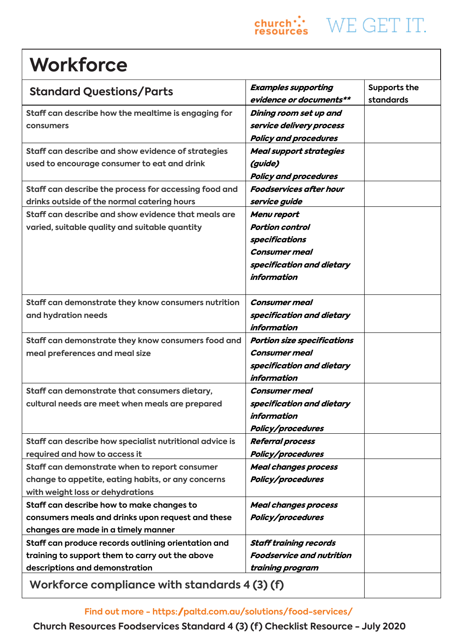# **Workforce**

| <b>Standard Questions/Parts</b>                                                                                                          | <b>Examples supporting</b><br>evidence or documents**                                                                              | Supports the<br>standards |
|------------------------------------------------------------------------------------------------------------------------------------------|------------------------------------------------------------------------------------------------------------------------------------|---------------------------|
| Staff can describe how the mealtime is engaging for<br>consumers                                                                         | Dining room set up and<br>service delivery process<br><b>Policy and procedures</b>                                                 |                           |
| Staff can describe and show evidence of strategies<br>used to encourage consumer to eat and drink                                        | <b>Meal support strategies</b><br>(guide)<br><b>Policy and procedures</b>                                                          |                           |
| Staff can describe the process for accessing food and<br>drinks outside of the normal catering hours                                     | <b>Foodservices after hour</b><br>service guide                                                                                    |                           |
| Staff can describe and show evidence that meals are<br>varied, suitable quality and suitable quantity                                    | Menu report<br><b>Portion control</b><br>specifications<br><b>Consumer meal</b><br>specification and dietary<br><i>information</i> |                           |
| Staff can demonstrate they know consumers nutrition<br>and hydration needs                                                               | <b>Consumer meal</b><br>specification and dietary<br><i>information</i>                                                            |                           |
| Staff can demonstrate they know consumers food and<br>meal preferences and meal size                                                     | <b>Portion size specifications</b><br><b>Consumer meal</b><br>specification and dietary<br>information                             |                           |
| Staff can demonstrate that consumers dietary,<br>cultural needs are meet when meals are prepared                                         | <b>Consumer meal</b><br>specification and dietary<br>information<br>Policy/procedures                                              |                           |
| Staff can describe how specialist nutritional advice is<br>required and how to access it                                                 | <b>Referral process</b><br>Policy/procedures                                                                                       |                           |
| Staff can demonstrate when to report consumer<br>change to appetite, eating habits, or any concerns<br>with weight loss or dehydrations  | <b>Meal changes process</b><br>Policy/procedures                                                                                   |                           |
| Staff can describe how to make changes to<br>consumers meals and drinks upon request and these<br>changes are made in a timely manner    | <b>Meal changes process</b><br><b>Policy/procedures</b>                                                                            |                           |
| Staff can produce records outlining orientation and<br>training to support them to carry out the above<br>descriptions and demonstration | <b>Staff training records</b><br><b>Foodservice and nutrition</b><br>training program                                              |                           |
| Workforce compliance with standards 4 (3) (f)                                                                                            |                                                                                                                                    |                           |

 $\begin{array}{ll}\n\text{church}\n\therefore \\
\text{vesources}\n\end{array} \text{WE GET IT.}$ 

**Church Resources Foodservices Standard 4 (3) (f) Checklist Resource - July 2020**